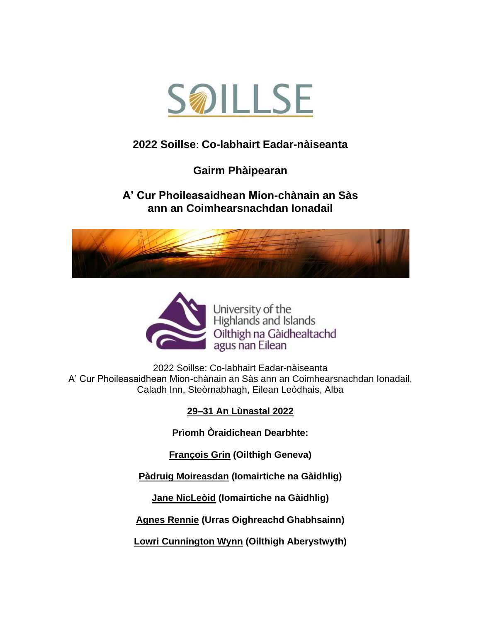

# **[2022 Soillse](http://www.soillse.ac.uk/en/soillsefel-conference-2016/)**: **Co-labhairt Eadar-nàiseanta**

## **Gairm Phàipearan**

#### **A' Cur Phoileasaidhean Mion-chànain an Sàs ann an Coimhearsnachdan Ionadail**





University of the Highlands and Islands Oilthigh na Gàidhealtachd agus nan Eilean

2022 Soillse: Co-labhairt Eadar-nàiseanta A' Cur Phoileasaidhean Mion-chànain an Sàs ann an Coimhearsnachdan Ionadail, Caladh Inn, Steòrnabhagh, Eilean Leòdhais, Alba

#### **29–31 An Lùnastal 2022**

**Prìomh Òraidichean Dearbhte:**

**[François Grin](zhttps://www.unige.ch/fti/elf/en/equipe/grin) [\(Oilthigh Geneva\)](https://www.unige.ch/fti/elf/en/equipe/grin/)**

**Pàdruig Moireasdan (Iomairtiche na Gàidhlig)**

**Jane NicLeòid (Iomairtiche na Gàidhlig)**

**[Agnes Rennie](https://www.galsontrust.com/board-of-directors-1) [\(Urras Oighreachd Ghabhsainn\)](https://www.galsontrust.com/board-of-directors-1)**

**[Lowri Cunnington Wynn](https://www.aber.ac.uk/en/lac/staff-profiles/listing/profile/lac48/) (Oilthigh Aberystwyth)**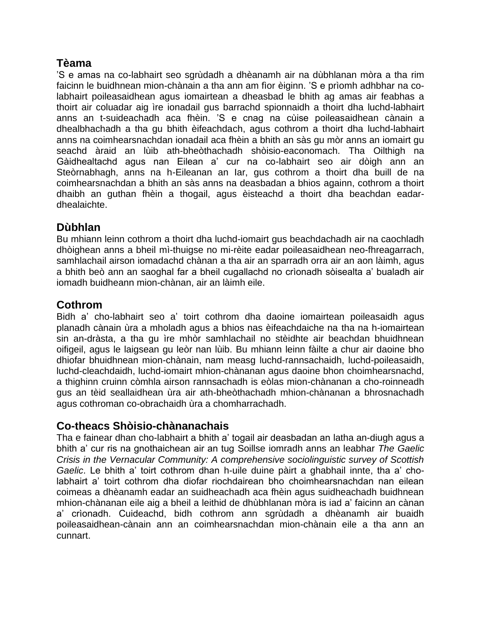#### **Tèama**

'S e amas na co-labhairt seo sgrùdadh a dhèanamh air na dùbhlanan mòra a tha rim faicinn le buidhnean mion-chànain a tha ann am fìor èiginn. 'S e prìomh adhbhar na colabhairt poileasaidhean agus iomairtean a dheasbad le bhith ag amas air feabhas a thoirt air coluadar aig ìre ionadail gus barrachd spionnaidh a thoirt dha luchd-labhairt anns an t-suideachadh aca fhèin. 'S e cnag na cùise poileasaidhean cànain a dhealbhachadh a tha gu bhith èifeachdach, agus cothrom a thoirt dha luchd-labhairt anns na coimhearsnachdan ionadail aca fhèin a bhith an sàs gu mòr anns an iomairt gu seachd àraid an lùib ath-bheòthachadh shòisio-eaconomach. Tha Oilthigh na Gàidhealtachd agus nan Eilean a' cur na co-labhairt seo air dòigh ann an Steòrnabhagh, anns na h-Eileanan an Iar, gus cothrom a thoirt dha buill de na coimhearsnachdan a bhith an sàs anns na deasbadan a bhios againn, cothrom a thoirt dhaibh an guthan fhèin a thogail, agus èisteachd a thoirt dha beachdan eadardhealaichte.

#### **Dùbhlan**

Bu mhiann leinn cothrom a thoirt dha luchd-iomairt gus beachdachadh air na caochladh dhòighean anns a bheil mì-thuigse no mi-rèite eadar poileasaidhean neo-fhreagarrach, samhlachail airson iomadachd chànan a tha air an sparradh orra air an aon làimh, agus a bhith beò ann an saoghal far a bheil cugallachd no crìonadh sòisealta a' bualadh air iomadh buidheann mion-chànan, air an làimh eile.

### **Cothrom**

Bidh a' cho-labhairt seo a' toirt cothrom dha daoine iomairtean poileasaidh agus planadh cànain ùra a mholadh agus a bhios nas èifeachdaiche na tha na h-iomairtean sin an-dràsta, a tha gu ìre mhòr samhlachail no stèidhte air beachdan bhuidhnean oifigeil, agus le laigsean gu leòr nan lùib. Bu mhiann leinn fàilte a chur air daoine bho dhiofar bhuidhnean mion-chànain, nam measg luchd-rannsachaidh, luchd-poileasaidh, luchd-cleachdaidh, luchd-iomairt mhion-chànanan agus daoine bhon choimhearsnachd, a thighinn cruinn còmhla airson rannsachadh is eòlas mion-chànanan a cho-roinneadh gus an tèid seallaidhean ùra air ath-bheòthachadh mhion-chànanan a bhrosnachadh agus cothroman co-obrachaidh ùra a chomharrachadh.

#### **Co-theacs Shòisio-chànanachais**

Tha e fainear dhan cho-labhairt a bhith a' togail air deasbadan an latha an-diugh agus a bhith a' cur ris na gnothaichean air an tug Soillse iomradh anns an leabhar *The Gaelic Crisis in the Vernacular Community: A comprehensive sociolinguistic survey of Scottish Gaelic*. Le bhith a' toirt cothrom dhan h-uile duine pàirt a ghabhail innte, tha a' cholabhairt a' toirt cothrom dha diofar riochdairean bho choimhearsnachdan nan eilean coimeas a dhèanamh eadar an suidheachadh aca fhèin agus suidheachadh buidhnean mhion-chànanan eile aig a bheil a leithid de dhùbhlanan mòra is iad a' faicinn an cànan a' crìonadh. Cuideachd, bidh cothrom ann sgrùdadh a dhèanamh air buaidh poileasaidhean-cànain ann an coimhearsnachdan mion-chànain eile a tha ann an cunnart.